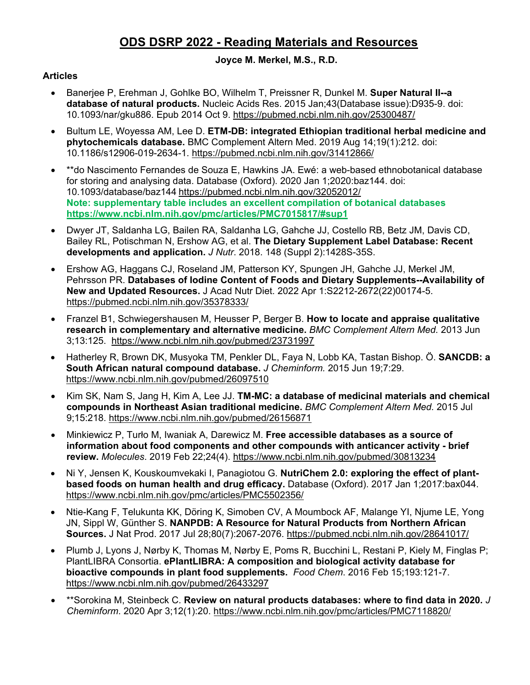# **ODS DSRP 2022 - Reading Materials and Resources**

### **Joyce M. Merkel, M.S., R.D.**

### **Articles**

- Banerjee P, Erehman J, Gohlke BO, Wilhelm T, Preissner R, Dunkel M. **Super Natural II--a database of natural products.** Nucleic Acids Res. 2015 Jan;43(Database issue):D935-9. doi: 10.1093/nar/gku886. Epub 2014 Oct 9.<https://pubmed.ncbi.nlm.nih.gov/25300487/>
- Bultum LE, Woyessa AM, Lee D. **ETM-DB: integrated Ethiopian traditional herbal medicine and phytochemicals database.** BMC Complement Altern Med. 2019 Aug 14;19(1):212. doi: 10.1186/s12906-019-2634-1.<https://pubmed.ncbi.nlm.nih.gov/31412866/>
- \*\*do Nascimento Fernandes de Souza E, Hawkins JA. Ewé: a web-based ethnobotanical database for storing and analysing data. Database (Oxford). 2020 Jan 1;2020:baz144. doi: 10.1093/database/baz144 <https://pubmed.ncbi.nlm.nih.gov/32052012/> **Note: supplementary table includes an excellent compilation of botanical databases <https://www.ncbi.nlm.nih.gov/pmc/articles/PMC7015817/#sup1>**
- Dwyer JT, Saldanha LG, Bailen RA, Saldanha LG, Gahche JJ, Costello RB, Betz JM, Davis CD, Bailey RL, Potischman N, Ershow AG, et al. **The Dietary Supplement Label Database: Recent developments and application.** *J Nutr*. 2018. 148 (Suppl 2):1428S-35S.
- Ershow AG, Haggans CJ, Roseland JM, Patterson KY, Spungen JH, Gahche JJ, Merkel JM, Pehrsson PR. **Databases of Iodine Content of Foods and Dietary Supplements--Availability of New and Updated Resources.** J Acad Nutr Diet. 2022 Apr 1:S2212-2672(22)00174-5. <https://pubmed.ncbi.nlm.nih.gov/35378333/>
- Franzel B1, Schwiegershausen M, Heusser P, Berger B. **How to locate and appraise qualitative research in complementary and alternative medicine.** *BMC Complement Altern Med.* 2013 Jun 3;13:125. <https://www.ncbi.nlm.nih.gov/pubmed/23731997>
- Hatherley R, Brown DK, Musyoka TM, Penkler DL, Faya N, Lobb KA, Tastan Bishop. Ö. **SANCDB: a South African natural compound database.** *J Cheminform.* 2015 Jun 19;7:29. <https://www.ncbi.nlm.nih.gov/pubmed/26097510>
- Kim SK, Nam S, Jang H, Kim A, Lee JJ. **TM-MC: a database of medicinal materials and chemical compounds in Northeast Asian traditional medicine.** *BMC Complement Altern Med.* 2015 Jul 9;15:218. <https://www.ncbi.nlm.nih.gov/pubmed/26156871>
- Minkiewicz P, Turło M, Iwaniak A, Darewicz M. **Free accessible databases as a source of information about food components and other compounds with anticancer activity - brief review.** *Molecules*. 2019 Feb 22;24(4).<https://www.ncbi.nlm.nih.gov/pubmed/30813234>
- Ni Y, Jensen K, Kouskoumvekaki I, Panagiotou G. **NutriChem 2.0: exploring the effect of plantbased foods on human health and drug efficacy.** Database (Oxford). 2017 Jan 1;2017:bax044. <https://www.ncbi.nlm.nih.gov/pmc/articles/PMC5502356/>
- Ntie-Kang F, Telukunta KK, Döring K, Simoben CV, A Moumbock AF, Malange YI, Njume LE, Yong JN, Sippl W, Günther S. **NANPDB: A Resource for Natural Products from Northern African Sources.** J Nat Prod. 2017 Jul 28;80(7):2067-2076.<https://pubmed.ncbi.nlm.nih.gov/28641017/>
- Plumb J, Lyons J, Nørby K, Thomas M, Nørby E, Poms R, Bucchini L, Restani P, Kiely M, Finglas P; PlantLIBRA Consortia. **ePlantLIBRA: A composition and biological activity database for bioactive compounds in plant food supplements.** *Food Chem*. 2016 Feb 15;193:121-7. <https://www.ncbi.nlm.nih.gov/pubmed/26433297>
- \*\*Sorokina M, Steinbeck C. **Review on natural products databases: where to find data in 2020.** *J Cheminform*. 2020 Apr 3;12(1):20.<https://www.ncbi.nlm.nih.gov/pmc/articles/PMC7118820/>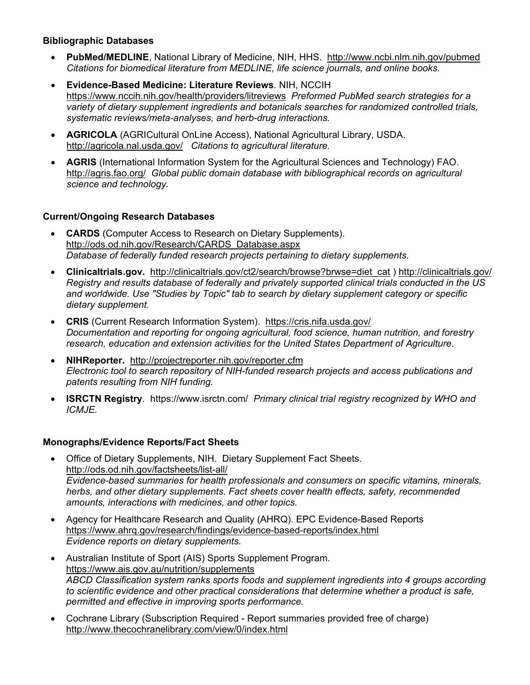#### **Bibliographic Databases**

- **PubMed/MEDLINE**, National Library of Medicine, NIH, HHS. <http://www.ncbi.nlm.nih.gov/pubmed> *Citations for biomedical literature from MEDLINE, life science journals, and online books.*
- **Evidence-Based Medicine: Literature Reviews***.* NIH, NCCIH <https://www.nccih.nih.gov/health/providers/litreviews> *Preformed PubMed search strategies for a variety of dietary supplement ingredients and botanicals searches for randomized controlled trials, systematic reviews/meta-analyses, and herb-drug interactions.*
- **AGRICOLA** (AGRICultural OnLine Access), National Agricultural Library, USDA. <http://agricola.nal.usda.gov/> *Citations to agricultural literature.*
- **AGRIS** (International Information System for the Agricultural Sciences and Technology) FAO. <http://agris.fao.org/>*Global public domain database with bibliographical records on agricultural science and technology.*

## **Current/Ongoing Research Databases**

- **CARDS** (Computer Access to Research on Dietary Supplements). [http://ods.od.nih.gov/Research/CARDS\\_Database.aspx](http://ods.od.nih.gov/Research/CARDS_Database.aspx) *Database of federally funded research projects pertaining to dietary supplements.*
- **Clinicaltrials.gov.** [http://clinicaltrials.gov/ct2/search/browse?brwse=diet\\_cat](http://clinicaltrials.gov/ct2/search/browse?brwse=diet_cat) )<http://clinicaltrials.gov/> *Registry and results database of federally and privately supported clinical trials conducted in the US and worldwide. Use "Studies by Topic" tab to search by dietary supplement category or specific dietary supplement.*
- **CRIS** (Current Research Information System). <https://cris.nifa.usda.gov/> *Documentation and reporting for ongoing agricultural, food science, human nutrition, and forestry research, education and extension activities for the United States Department of Agriculture.*
- **NIHReporter.** <http://projectreporter.nih.gov/reporter.cfm> *Electronic tool to search repository of NIH-funded research projects and access publications and patents resulting from NIH funding.*
- **ISRCTN Registry***.* https://www.isrctn.com/ *Primary clinical trial registry recognized by WHO and ICMJE.*

## **Monographs/Evidence Reports/Fact Sheets**

- Office of Dietary Supplements, NIH. Dietary Supplement Fact Sheets. <http://ods.od.nih.gov/factsheets/list-all/> *Evidence-based summaries for health professionals and consumers on specific vitamins, minerals, herbs, and other dietary supplements. Fact sheets cover health effects, safety, recommended amounts, interactions with medicines, and other topics.*
- Agency for Healthcare Research and Quality (AHRQ). EPC Evidence-Based Reports <https://www.ahrq.gov/research/findings/evidence-based-reports/index.html> *Evidence reports on dietary supplements.*
- Australian Institute of Sport (AIS) Sports Supplement Program. <https://www.ais.gov.au/nutrition/supplements> *ABCD Classification system ranks sports foods and supplement ingredients into 4 groups according to scientific evidence and other practical considerations that determine whether a product is safe, permitted and effective in improving sports performance.*
- Cochrane Library (Subscription Required Report summaries provided free of charge) <http://www.thecochranelibrary.com/view/0/index.html>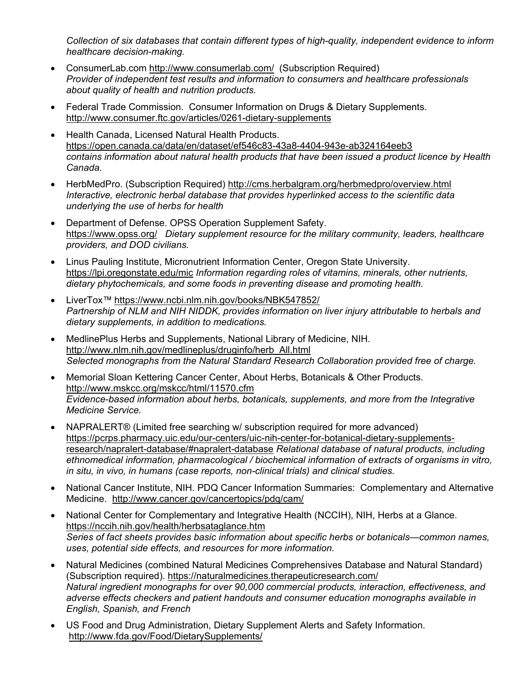*Collection of six databases that contain different types of high-quality, independent evidence to inform healthcare decision-making.*

- ConsumerLab.com<http://www.consumerlab.com/> (Subscription Required) *Provider of independent test results and information to consumers and healthcare professionals about quality of health and nutrition products.*
- Federal Trade Commission. Consumer Information on Drugs & Dietary Supplements. <http://www.consumer.ftc.gov/articles/0261-dietary-supplements>
- Health Canada, Licensed Natural Health Products. <https://open.canada.ca/data/en/dataset/ef546c83-43a8-4404-943e-ab324164eeb3> *contains information about natural health products that have been issued a product licence by Health Canada.*
- [HerbMedPro.](http://cms.herbalgram.org/herbmedpro/overview.html) (Subscription Required) <http://cms.herbalgram.org/herbmedpro/overview.html> *Interactive, electronic herbal database that provides hyperlinked access to the scientific data underlying the use of herbs for health*
- Department of Defense. OPSS Operation Supplement Safety. <https://www.opss.org/> *Dietary supplement resource for the military community, leaders, healthcare providers, and DOD civilians.*
- Linus Pauling Institute, Micronutrient Information Center, Oregon State University. <https://lpi.oregonstate.edu/mic> *Information regarding roles of vitamins, minerals, other nutrients, dietary phytochemicals, and some foods in preventing disease and promoting health.*
- LiverTox™ <https://www.ncbi.nlm.nih.gov/books/NBK547852/> *Partnership of NLM and NIH NIDDK, provides information on liver injury attributable to herbals and dietary supplements, in addition to medications.*
- MedlinePlus Herbs and Supplements, National Library of Medicine, NIH. [http://www.nlm.nih.gov/medlineplus/druginfo/herb\\_All.html](http://www.nlm.nih.gov/medlineplus/druginfo/herb_All.html) *Selected monographs from the Natural Standard Research Collaboration provided free of charge.*
- Memorial Sloan Kettering Cancer Center, About Herbs, Botanicals & Other Products. <http://www.mskcc.org/mskcc/html/11570.cfm> *Evidence-based information about herbs, botanicals, supplements, and more from the Integrative Medicine Service.*
- NAPRALERT® (Limited free searching w/ subscription required for more advanced) [https://pcrps.pharmacy.uic.edu/our-centers/uic-nih-center-for-botanical-dietary-supplements](https://pcrps.pharmacy.uic.edu/our-centers/uic-nih-center-for-botanical-dietary-supplements-research/napralert-database/#napralert-database)[research/napralert-database/#napralert-database](https://pcrps.pharmacy.uic.edu/our-centers/uic-nih-center-for-botanical-dietary-supplements-research/napralert-database/#napralert-database) *Relational database of natural products, including ethnomedical information, pharmacological / biochemical information of extracts of organisms in vitro, in situ, in vivo, in humans (case reports, non-clinical trials) and clinical studies.*
- National Cancer Institute, NIH. PDQ Cancer Information Summaries: Complementary and Alternative Medicine. <http://www.cancer.gov/cancertopics/pdq/cam/>
- National Center for Complementary and Integrative Health (NCCIH), NIH, Herbs at a Glance. <https://nccih.nih.gov/health/herbsataglance.htm> *Series of fact sheets provides basic information about specific herbs or botanicals—common names, uses, potential side effects, and resources for more information.*
- Natural Medicines (combined Natural Medicines Comprehensives Database and Natural Standard) (Subscription required).<https://naturalmedicines.therapeuticresearch.com/> *Natural ingredient monographs for over 90,000 commercial products, interaction, effectiveness, and adverse effects checkers and patient handouts and consumer education monographs available in English, Spanish, and French*
- US Food and Drug Administration, Dietary Supplement Alerts and Safety Information. <http://www.fda.gov/Food/DietarySupplements/>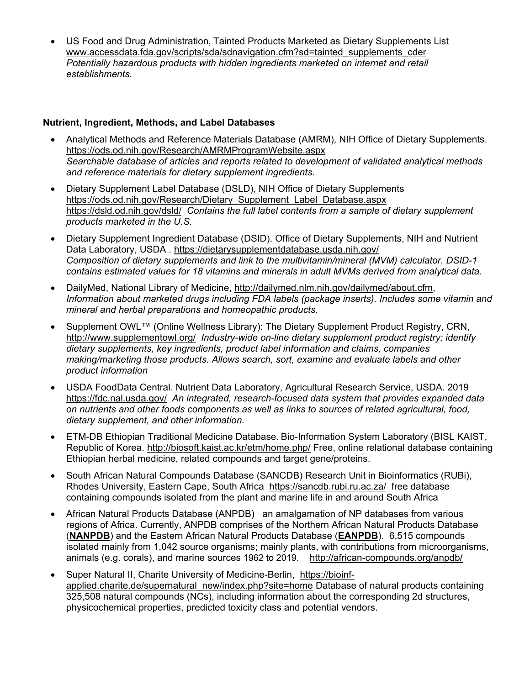• US Food and Drug Administration, Tainted Products Marketed as Dietary Supplements List [www.accessdata.fda.gov/scripts/sda/sdnavigation.cfm?sd=tainted\\_supplements\\_cder](http://www.accessdata.fda.gov/scripts/sda/sdnavigation.cfm?sd=tainted_supplements_cder) *Potentially hazardous products with hidden ingredients marketed on internet and retail establishments.*

#### **Nutrient, Ingredient, Methods, and Label Databases**

- Analytical Methods and Reference Materials Database (AMRM), NIH Office of Dietary Supplements. <https://ods.od.nih.gov/Research/AMRMProgramWebsite.aspx> *Searchable database of articles and reports related to development of validated analytical methods and reference materials for dietary supplement ingredients.*
- Dietary Supplement Label Database (DSLD), NIH Office of Dietary Supplements [https://ods.od.nih.gov/Research/Dietary\\_Supplement\\_Label\\_Database.aspx](https://ods.od.nih.gov/Research/Dietary_Supplement_Label_Database.aspx) <https://dsld.od.nih.gov/dsld/>*Contains the full label contents from a sample of dietary supplement products marketed in the U.S.*
- Dietary Supplement Ingredient Database (DSID). Office of Dietary Supplements, NIH and Nutrient Data Laboratory, USDA .<https://dietarysupplementdatabase.usda.nih.gov/> *Composition of dietary supplements and link to the multivitamin/mineral (MVM) calculator. DSID-1 contains estimated values for 18 vitamins and minerals in adult MVMs derived from analytical data.*
- DailyMed, National Library of Medicine, [http://dailymed.nlm.nih.gov/dailymed/about.cfm,](http://dailymed.nlm.nih.gov/dailymed/about.cfm) *Information about marketed drugs including FDA labels (package inserts). Includes some vitamin and mineral and herbal preparations and homeopathic products.*
- Supplement OWL™ (Online Wellness Library): The Dietary Supplement Product Registry, CRN, <http://www.supplementowl.org/>*Industry-wide on-line dietary supplement product registry; identify dietary supplements, key ingredients, product label information and claims, companies making/marketing those products. Allows search, sort, examine and evaluate labels and other product information*
- USDA FoodData Central. Nutrient Data Laboratory, Agricultural Research Service, USDA. 2019 <https://fdc.nal.usda.gov/> *An integrated, research-focused data system that provides expanded data on nutrients and other foods components as well as links to sources of related agricultural, food, dietary supplement, and other information.*
- ETM-DB Ethiopian Traditional Medicine Database. Bio-Information System Laboratory (BISL KAIST, Republic of Korea.<http://biosoft.kaist.ac.kr/etm/home.php/> Free, online relational database containing Ethiopian herbal medicine, related compounds and target gene/proteins.
- South African Natural Compounds Database (SANCDB) Research Unit in Bioinformatics (RUBi), Rhodes University, Eastern Cape, South Africa <https://sancdb.rubi.ru.ac.za/> free database containing compounds isolated from the plant and marine life in and around South Africa
- African Natural Products Database (ANPDB) an amalgamation of NP databases from various regions of Africa. Currently, ANPDB comprises of the Northern African Natural Products Database (**[NANPDB](http://african-compounds.org/about/nanpdb/)**) and the Eastern African Natural Products Database (**[EANPDB](http://african-compounds.org/about/eanpdb/)**). 6,515 compounds isolated mainly from 1,042 source organisms; mainly plants, with contributions from microorganisms, animals (e.g. corals), and marine sources 1962 to 2019. <http://african-compounds.org/anpdb/>
- Super Natural II, Charite University of Medicine-Berlin, [https://bioinf](https://bioinf-applied.charite.de/supernatural_new/index.php?site=home)[applied.charite.de/supernatural\\_new/index.php?site=home](https://bioinf-applied.charite.de/supernatural_new/index.php?site=home) Database of natural products containing 325,508 natural compounds (NCs), including information about the corresponding 2d structures, physicochemical properties, predicted toxicity class and potential vendors.